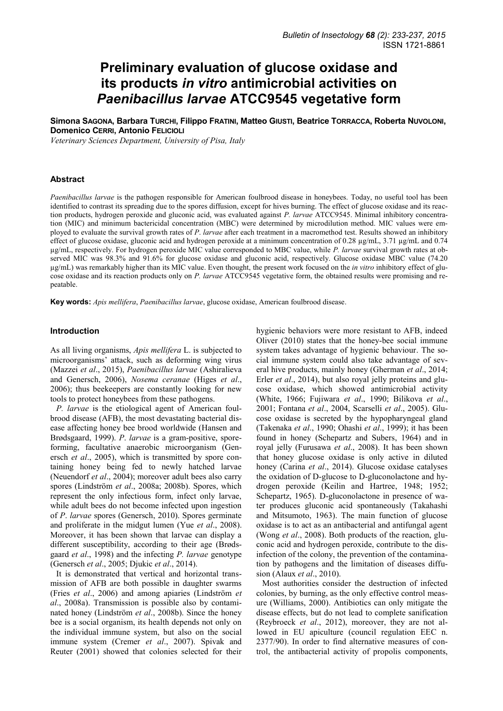# **Preliminary evaluation of glucose oxidase and its products** *in vitro* **antimicrobial activities on** *Paenibacillus larvae* **ATCC9545 vegetative form**

**Simona SAGONA, Barbara TURCHI, Filippo FRATINI, Matteo GIUSTI, Beatrice TORRACCA, Roberta NUVOLONI, Domenico CERRI, Antonio FELICIOLI**

*Veterinary Sciences Department, University of Pisa, Italy* 

#### **Abstract**

*Paenibacillus larvae* is the pathogen responsible for American foulbrood disease in honeybees. Today, no useful tool has been identified to contrast its spreading due to the spores diffusion, except for hives burning. The effect of glucose oxidase and its reaction products, hydrogen peroxide and gluconic acid, was evaluated against *P. larvae* ATCC9545. Minimal inhibitory concentration (MIC) and minimum bactericidal concentration (MBC) were determined by microdilution method. MIC values were employed to evaluate the survival growth rates of *P*. *larvae* after each treatment in a macromethod test. Results showed an inhibitory effect of glucose oxidase, gluconic acid and hydrogen peroxide at a minimum concentration of 0.28 µg/mL, 3.71 µg/mL and 0.74 µg/mL, respectively. For hydrogen peroxide MIC value corresponded to MBC value, while *P. larvae* survival growth rates at observed MIC was 98.3% and 91.6% for glucose oxidase and gluconic acid, respectively. Glucose oxidase MBC value (74.20 µg/mL) was remarkably higher than its MIC value. Even thought, the present work focused on the *in vitro* inhibitory effect of glucose oxidase and its reaction products only on *P. larvae* ATCC9545 vegetative form, the obtained results were promising and repeatable.

**Key words:** *Apis mellifera*, *Paenibacillus larvae*, glucose oxidase, American foulbrood disease.

#### **Introduction**

As all living organisms, *Apis mellifera* L. is subjected to microorganisms' attack, such as deforming wing virus (Mazzei *et al*., 2015), *Paenibacillus larvae* (Ashiralieva and Genersch, 2006), *Nosema ceranae* (Higes *et al*., 2006); thus beekeepers are constantly looking for new tools to protect honeybees from these pathogens.

*P. larvae* is the etiological agent of American foulbrood disease (AFB), the most devastating bacterial disease affecting honey bee brood worldwide (Hansen and Brødsgaard, 1999). *P*. *larvae* is a gram-positive, sporeforming, facultative anaerobic microorganism (Genersch *et al*., 2005), which is transmitted by spore containing honey being fed to newly hatched larvae (Neuendorf *et al*., 2004); moreover adult bees also carry spores (Lindström *et al*., 2008a; 2008b). Spores, which represent the only infectious form, infect only larvae, while adult bees do not become infected upon ingestion of *P*. *larvae* spores (Genersch, 2010). Spores germinate and proliferate in the midgut lumen (Yue *et al*., 2008). Moreover, it has been shown that larvae can display a different susceptibility, according to their age (Brødsgaard *et al*., 1998) and the infecting *P. larvae* genotype (Genersch *et al*., 2005; Djukic *et al*., 2014).

It is demonstrated that vertical and horizontal transmission of AFB are both possible in daughter swarms (Fries *et al*., 2006) and among apiaries (Lindström *et al*., 2008a). Transmission is possible also by contaminated honey (Lindström *et al*., 2008b). Since the honey bee is a social organism, its health depends not only on the individual immune system, but also on the social immune system (Cremer *et al*., 2007). Spivak and Reuter (2001) showed that colonies selected for their

hygienic behaviors were more resistant to AFB, indeed Oliver (2010) states that the honey-bee social immune system takes advantage of hygienic behaviour. The social immune system could also take advantage of several hive products, mainly honey (Gherman *et al*., 2014; Erler *et al*., 2014), but also royal jelly proteins and glucose oxidase, which showed antimicrobial activity (White, 1966; Fujiwara *et al*., 1990; Bilikova *et al*., 2001; Fontana *et al*., 2004, Scarselli *et al*., 2005). Glucose oxidase is secreted by the hypopharyngeal gland (Takenaka *et al*., 1990; Ohashi *et al*., 1999); it has been found in honey (Schepartz and Subers, 1964) and in royal jelly (Furusawa *et al*., 2008). It has been shown that honey glucose oxidase is only active in diluted honey (Carina *et al*., 2014). Glucose oxidase catalyses the oxidation of D-glucose to D-gluconolactone and hydrogen peroxide (Keilin and Hartree, 1948; 1952; Schepartz, 1965). D-gluconolactone in presence of water produces gluconic acid spontaneously (Takahashi and Mitsumoto, 1963). The main function of glucose oxidase is to act as an antibacterial and antifungal agent (Wong *et al*., 2008). Both products of the reaction, gluconic acid and hydrogen peroxide, contribute to the disinfection of the colony, the prevention of the contamination by pathogens and the limitation of diseases diffusion (Alaux *et al*., 2010).

Most authorities consider the destruction of infected colonies, by burning, as the only effective control measure (Williams, 2000). Antibiotics can only mitigate the disease effects, but do not lead to complete sanification (Reybroeck *et al*., 2012), moreover, they are not allowed in EU apiculture (council regulation EEC n. 2377/90). In order to find alternative measures of control, the antibacterial activity of propolis components,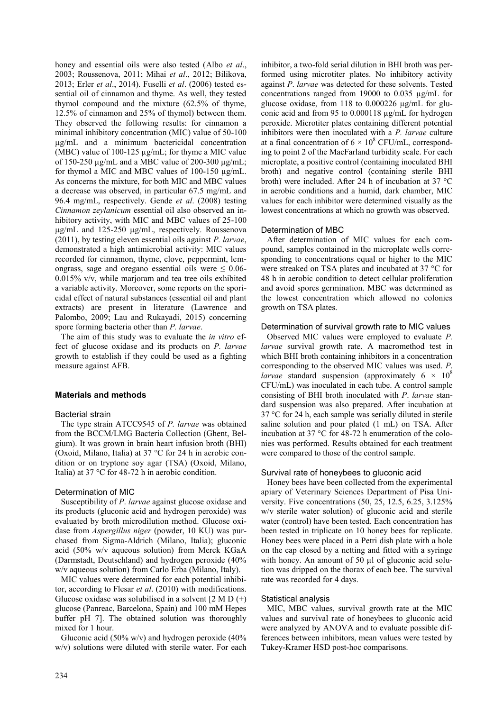honey and essential oils were also tested (Albo *et al*., 2003; Roussenova, 2011; Mihai *et al*., 2012; Bilikova, 2013; Erler *et al*., 2014). Fuselli *et al*. (2006) tested essential oil of cinnamon and thyme. As well, they tested thymol compound and the mixture (62.5% of thyme, 12.5% of cinnamon and 25% of thymol) between them. They observed the following results: for cinnamon a minimal inhibitory concentration (MIC) value of 50-100 µg/mL and a minimum bactericidal concentration (MBC) value of 100-125 µg/mL; for thyme a MIC value of 150-250 µg/mL and a MBC value of 200-300 µg/mL; for thymol a MIC and MBC values of 100-150 µg/mL. As concerns the mixture, for both MIC and MBC values a decrease was observed, in particular 67.5 mg/mL and 96.4 mg/mL, respectively. Gende *et al*. (2008) testing *Cinnamon zeylanicum* essential oil also observed an inhibitory activity, with MIC and MBC values of 25-100 µg/mL and 125-250 µg/mL, respectively. Roussenova (2011), by testing eleven essential oils against *P. larvae*, demonstrated a high antimicrobial activity: MIC values recorded for cinnamon, thyme, clove, peppermint, lemongrass, sage and oregano essential oils were  $\leq 0.06$ -0.015% v/v, while marjoram and tea tree oils exhibited a variable activity. Moreover, some reports on the sporicidal effect of natural substances (essential oil and plant extracts) are present in literature (Lawrence and Palombo, 2009; Lau and Rukayadi, 2015) concerning spore forming bacteria other than *P. larvae*.

The aim of this study was to evaluate the *in vitro* effect of glucose oxidase and its products on *P. larvae* growth to establish if they could be used as a fighting measure against AFB.

## **Materials and methods**

## Bacterial strain

The type strain ATCC9545 of *P. larvae* was obtained from the BCCM/LMG Bacteria Collection (Ghent, Belgium). It was grown in brain heart infusion broth (BHI) (Oxoid, Milano, Italia) at 37 °C for 24 h in aerobic condition or on tryptone soy agar (TSA) (Oxoid, Milano, Italia) at 37 °C for 48-72 h in aerobic condition.

## Determination of MIC

Susceptibility of *P*. *larvae* against glucose oxidase and its products (gluconic acid and hydrogen peroxide) was evaluated by broth microdilution method. Glucose oxidase from *Aspergillus niger* (powder, 10 KU) was purchased from Sigma-Aldrich (Milano, Italia); gluconic acid (50% w/v aqueous solution) from Merck KGaA (Darmstadt, Deutschland) and hydrogen peroxide (40% w/v aqueous solution) from Carlo Erba (Milano, Italy).

MIC values were determined for each potential inhibitor, according to Flesar *et al*. (2010) with modifications. Glucose oxidase was solubilised in a solvent  $[2 M D (+)$ glucose (Panreac, Barcelona, Spain) and 100 mM Hepes buffer pH 7]. The obtained solution was thoroughly mixed for 1 hour.

Gluconic acid (50% w/v) and hydrogen peroxide (40% w/v) solutions were diluted with sterile water. For each

inhibitor, a two-fold serial dilution in BHI broth was performed using microtiter plates. No inhibitory activity against *P*. *larvae* was detected for these solvents. Tested concentrations ranged from 19000 to 0.035 µg/mL for glucose oxidase, from 118 to 0.000226 µg/mL for gluconic acid and from 95 to 0.000118 µg/mL for hydrogen peroxide. Microtiter plates containing different potential inhibitors were then inoculated with a *P. larvae* culture at a final concentration of  $6 \times 10^8$  CFU/mL, corresponding to point 2 of the MacFarland turbidity scale. For each microplate, a positive control (containing inoculated BHI broth) and negative control (containing sterile BHI broth) were included. After 24 h of incubation at 37 °C in aerobic conditions and a humid, dark chamber, MIC values for each inhibitor were determined visually as the lowest concentrations at which no growth was observed.

## Determination of MBC

After determination of MIC values for each compound, samples contained in the microplate wells corresponding to concentrations equal or higher to the MIC were streaked on TSA plates and incubated at 37 °C for 48 h in aerobic condition to detect cellular proliferation and avoid spores germination. MBC was determined as the lowest concentration which allowed no colonies growth on TSA plates.

## Determination of survival growth rate to MIC values

Observed MIC values were employed to evaluate *P. larvae* survival growth rate. A macromethod test in which BHI broth containing inhibitors in a concentration corresponding to the observed MIC values was used. *P*. *larvae* standard suspension (approximately  $6 \times 10^8$ CFU/mL) was inoculated in each tube. A control sample consisting of BHI broth inoculated with *P*. *larvae* standard suspension was also prepared. After incubation at 37 °C for 24 h, each sample was serially diluted in sterile saline solution and pour plated (1 mL) on TSA. After incubation at 37 °C for 48-72 h enumeration of the colonies was performed. Results obtained for each treatment were compared to those of the control sample.

#### Survival rate of honeybees to gluconic acid

Honey bees have been collected from the experimental apiary of Veterinary Sciences Department of Pisa University. Five concentrations (50, 25, 12.5, 6.25, 3.125% w/v sterile water solution) of gluconic acid and sterile water (control) have been tested. Each concentration has been tested in triplicate on 10 honey bees for replicate. Honey bees were placed in a Petri dish plate with a hole on the cap closed by a netting and fitted with a syringe with honey. An amount of 50 µl of gluconic acid solution was dripped on the thorax of each bee. The survival rate was recorded for 4 days.

#### Statistical analysis

MIC, MBC values, survival growth rate at the MIC values and survival rate of honeybees to gluconic acid were analyzed by ANOVA and to evaluate possible differences between inhibitors, mean values were tested by Tukey-Kramer HSD post-hoc comparisons.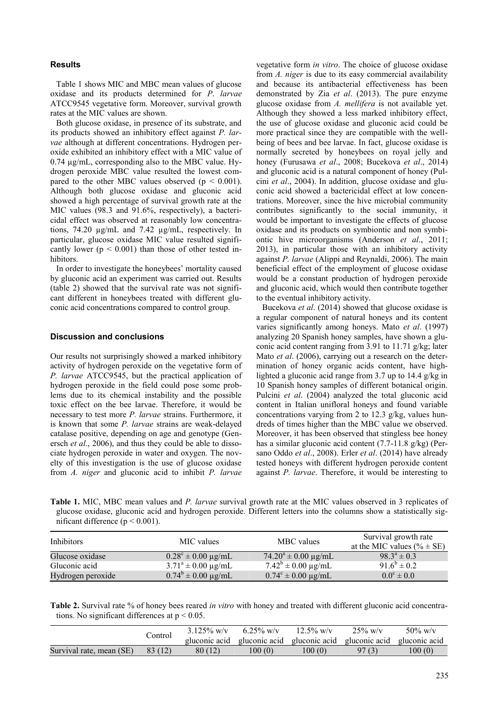# **Results**

Table 1 shows MIC and MBC mean values of glucose oxidase and its products determined for *P*. *larvae*  ATCC9545 vegetative form. Moreover, survival growth rates at the MIC values are shown.

Both glucose oxidase, in presence of its substrate, and its products showed an inhibitory effect against *P. larvae* although at different concentrations. Hydrogen peroxide exhibited an inhibitory effect with a MIC value of 0.74 µg/mL, corresponding also to the MBC value. Hydrogen peroxide MBC value resulted the lowest compared to the other MBC values observed ( $p < 0.001$ ). Although both glucose oxidase and gluconic acid showed a high percentage of survival growth rate at the MIC values (98.3 and 91.6%, respectively), a bactericidal effect was observed at reasonably low concentrations, 74.20 µg/mL and 7.42 µg/mL, respectively. In particular, glucose oxidase MIC value resulted significantly lower ( $p < 0.001$ ) than those of other tested inhibitors.

In order to investigate the honeybees' mortality caused by gluconic acid an experiment was carried out. Results (table 2) showed that the survival rate was not significant different in honeybees treated with different gluconic acid concentrations compared to control group.

## **Discussion and conclusions**

Our results not surprisingly showed a marked inhibitory activity of hydrogen peroxide on the vegetative form of *P. larvae* ATCC9545, but the practical application of hydrogen peroxide in the field could pose some problems due to its chemical instability and the possible toxic effect on the bee larvae. Therefore, it would be necessary to test more *P. larvae* strains. Furthermore, it is known that some *P. larvae* strains are weak-delayed catalase positive, depending on age and genotype (Genersch *et al*., 2006), and thus they could be able to dissociate hydrogen peroxide in water and oxygen. The novelty of this investigation is the use of glucose oxidase from *A. niger* and gluconic acid to inhibit *P. larvae*

vegetative form *in vitro*. The choice of glucose oxidase from *A. niger* is due to its easy commercial availability and because its antibacterial effectiveness has been demonstrated by Zia *et al*. (2013). The pure enzyme glucose oxidase from *A. mellifera* is not available yet. Although they showed a less marked inhibitory effect, the use of glucose oxidase and gluconic acid could be more practical since they are compatible with the wellbeing of bees and bee larvae. In fact, glucose oxidase is normally secreted by honeybees on royal jelly and honey (Furusawa *et al*., 2008; Bucekova *et al*., 2014) and gluconic acid is a natural component of honey (Pulcini *et al*., 2004). In addition, glucose oxidase and gluconic acid showed a bactericidal effect at low concentrations. Moreover, since the hive microbial community contributes significantly to the social immunity, it would be important to investigate the effects of glucose oxidase and its products on symbiontic and non symbiontic hive microorganisms (Anderson *et al*., 2011; 2013), in particular those with an inhibitory activity against *P. larvae* (Alippi and Reynaldi, 2006). The main beneficial effect of the employment of glucose oxidase would be a constant production of hydrogen peroxide and gluconic acid, which would then contribute together to the eventual inhibitory activity.

Bucekova *et al*. (2014) showed that glucose oxidase is a regular component of natural honeys and its content varies significantly among honeys. Mato *et al*. (1997) analyzing 20 Spanish honey samples, have shown a gluconic acid content ranging from 3.91 to 11.71 g/kg; later Mato *et al*. (2006), carrying out a research on the determination of honey organic acids content, have highlighted a gluconic acid range from 3.7 up to 14.4 g/kg in 10 Spanish honey samples of different botanical origin. Pulcini *et al*. (2004) analyzed the total gluconic acid content in Italian unifloral honeys and found variable concentrations varying from 2 to 12.3 g/kg, values hundreds of times higher than the MBC value we observed. Moreover, it has been observed that stingless bee honey has a similar gluconic acid content (7.7-11.8 g/kg) (Persano Oddo *et al*., 2008). Erler *et al*. (2014) have already tested honeys with different hydrogen peroxide content against *P. larvae*. Therefore, it would be interesting to

**Table 1.** MIC, MBC mean values and *P. larvae* survival growth rate at the MIC values observed in 3 replicates of glucose oxidase, gluconic acid and hydrogen peroxide. Different letters into the columns show a statistically significant difference (p < 0.001).

| <b>Inhibitors</b> | MIC values                            | MBC values                       | Survival growth rate<br>at the MIC values (% $\pm$ SE) |  |
|-------------------|---------------------------------------|----------------------------------|--------------------------------------------------------|--|
| Glucose oxidase   | $0.28^{\circ} \pm 0.00 \text{ µg/mL}$ | $74.20^a \pm 0.00 \text{ µg/mL}$ | $98.3^a \pm 0.3$                                       |  |
| Gluconic acid     | $3.71^a \pm 0.00 \text{ µg/mL}$       | $7.42^b \pm 0.00 \text{ µg/mL}$  | $91.6^b \pm 0.2$                                       |  |
| Hydrogen peroxide | $0.74^b \pm 0.00 \text{ µg/mL}$       | $0.74^c \pm 0.00 \text{ µg/mL}$  | $0.0^{\circ} \pm 0.0$                                  |  |

**Table 2.** Survival rate % of honey bees reared *in vitro* with honey and treated with different gluconic acid concentrations. No significant differences at  $p < 0.05$ .

|                          | Control | $3.125\%$ w/v<br>gluconic acid | 6.25% w/v<br>gluconic acid gluconic acid, | $12.5\%$ w/v | $25\%$ w/v<br>gluconic acid gluconic acid | $50\%$ w/v |
|--------------------------|---------|--------------------------------|-------------------------------------------|--------------|-------------------------------------------|------------|
| Survival rate, mean (SE) | 83 (12) | 80 (12)                        | 100 (0)                                   | 100(0)       | 97(3)                                     | 100 (0)    |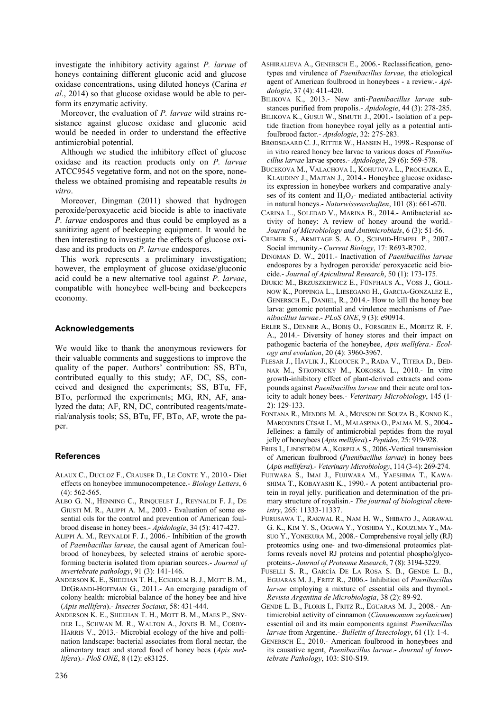investigate the inhibitory activity against *P. larvae* of honeys containing different gluconic acid and glucose oxidase concentrations, using diluted honeys (Carina *et al*., 2014) so that glucose oxidase would be able to perform its enzymatic activity.

Moreover, the evaluation of *P. larvae* wild strains resistance against glucose oxidase and gluconic acid would be needed in order to understand the effective antimicrobial potential.

Although we studied the inhibitory effect of glucose oxidase and its reaction products only on *P. larvae*  ATCC9545 vegetative form, and not on the spore, nonetheless we obtained promising and repeatable results *in vitro*.

Moreover, Dingman (2011) showed that hydrogen peroxide/peroxyacetic acid biocide is able to inactivate *P. larvae* endospores and thus could be employed as a sanitizing agent of beekeeping equipment. It would be then interesting to investigate the effects of glucose oxidase and its products on *P. larvae* endospores.

This work represents a preliminary investigation; however, the employment of glucose oxidase/gluconic acid could be a new alternative tool against *P. larvae*, compatible with honeybee well-being and beekeepers economy.

## **Acknowledgements**

We would like to thank the anonymous reviewers for their valuable comments and suggestions to improve the quality of the paper. Authors' contribution: SS, BTu, contributed equally to this study; AF, DC, SS, conceived and designed the experiments; SS, BTu, FF, BTo, performed the experiments; MG, RN, AF, analyzed the data; AF, RN, DC, contributed reagents/material/analysis tools; SS, BTu, FF, BTo, AF, wrote the paper.

## **References**

- ALAUX C., DUCLOZ F., CRAUSER D., LE CONTE Y., 2010.- Diet effects on honeybee immunocompetence.- *Biology Letters*, 6 (4): 562-565.
- ALBO G. N., HENNING C., RINQUELET J., REYNALDI F. J., DE GIUSTI M. R., ALIPPI A. M., 2003.- Evaluation of some essential oils for the control and prevention of American foulbrood disease in honey bees.- *Apidologie*, 34 (5): 417-427.
- ALIPPI A. M., REYNALDI F. J., 2006.- Inhibition of the growth of *Paenibacillus larvae*, the causal agent of American foulbrood of honeybees, by selected strains of aerobic sporeforming bacteria isolated from apiarian sources.- *Journal of invertebrate pathology*, 91 (3): 141-146.
- ANDERSON K. E., SHEEHAN T. H., ECKHOLM B. J., MOTT B. M., DEGRANDI-HOFFMAN G., 2011.- An emerging paradigm of colony health: microbial balance of the honey bee and hive (*Apis mellifera*).- *Insectes Sociaux*, 58: 431-444.
- ANDERSON K. E., SHEEHAN T. H., MOTT B. M., MAES P., SNY-DER L., SCHWAN M. R., WALTON A., JONES B. M., CORBY-HARRIS V., 2013.- Microbial ecology of the hive and pollination landscape: bacterial associates from floral nectar, the alimentary tract and stored food of honey bees (*Apis mellifera*).- *PloS ONE*, 8 (12): e83125.
- ASHIRALIEVA A., GENERSCH E., 2006.- Reclassification, genotypes and virulence of *Paenibacillus larvae*, the etiological agent of American foulbrood in honeybees - a review.- *Apidologie*, 37 (4): 411-420.
- BILIKOVA K., 2013.- New anti-*Paenibacillus larvae* substances purified from propolis.- *Apidologie*, 44 (3): 278-285.
- BILIKOVA K., GUSUI W., SIMUTH J., 2001.- [Isolation of a pep](http://serials.unibo.it/cgi-ser/start/it/spogli/df-s.tcl?prog_art=8759932&language=ITALIANO&view=articoli)[tide fraction from honeybee royal jelly as a potential anti](http://serials.unibo.it/cgi-ser/start/it/spogli/df-s.tcl?prog_art=8759932&language=ITALIANO&view=articoli)[foulbrood factor.](http://serials.unibo.it/cgi-ser/start/it/spogli/df-s.tcl?prog_art=8759932&language=ITALIANO&view=articoli)- *Apidologie*, 32: 275-283.
- BRØDSGAARD C. J., RITTER W., HANSEN H., 1998.- Response of in vitro reared honey bee larvae to various doses of *Paenibacillus larvae* larvae spores.- *Apidologie*, 29 (6): 569-578.
- BUCEKOVA M., VALACHOVA I., KOHUTOVA L., PROCHAZKA E., KLAUDINY J., MAJTAN J., 2014.- Honeybee glucose oxidaseits expression in honeybee workers and comparative analyses of its content and  $H_2O_2$ - mediated antibacterial activity in natural honeys.- *Naturwissenschaften*, 101 (8): 661-670.
- CARINA L., SOLEDAD V., MARINA B., 2014.- Antibacterial activity of honey: A review of honey around the world.- *Journal of Microbiology and Antimicrobials*, 6 (3): 51-56.
- CREMER S., ARMITAGE S. A. O., SCHMID-HEMPEL P., 2007.- Social immunity.- *Current Biology*, 17: R693-R702.
- DINGMAN D. W., 2011.- Inactivation of *Paenibacillus larvae* endospores by a hydrogen peroxide/ peroxyacetic acid biocide.- *Journal of Apicultural Research*, 50 (1): 173-175.
- DJUKIC M., BRZUSZKIEWICZ E., FÜNFHAUS A., VOSS J., GOLL-NOW K., POPPINGA L., LIESEGANG H., GARCIA-GONZALEZ E., GENERSCH E., DANIEL, R., 2014.- How to kill the honey bee larva: genomic potential and virulence mechanisms of *Paenibacillus larvae*.- *PLoS ONE*, 9 (3): e90914.
- ERLER S., DENNER A., BOBIŞ O., FORSGREN E., MORITZ R. F. A., 2014.- Diversity of honey stores and their impact on pathogenic bacteria of the honeybee, *Apis mellifera*.- *Ecology and evolution*, 20 (4): 3960-3967.
- FLESAR J., HAVLIK J., KLOUCEK P., RADA V., TITERA D., BED-NAR M., STROPNICKY M., KOKOSKA L., 2010.- In vitro growth-inhibitory effect of plant-derived extracts and compounds against *Paenibacillus larvae* and their acute oral toxicity to adult honey bees.- *Veterinary Microbiology*, 145 (1- 2): 129-133.
- FONTANA R., MENDES M. A., MONSON DE SOUZA B., KONNO K., MARCONDES CÉSAR L. M., MALASPINA O., PALMA M. S., 2004.- Jelleines: a family of antimicrobial peptides from the royal jelly of honeybees (*Apis mellifera*).- *Peptides*, 25: 919-928.
- FRIES I., LINDSTRÖM A., KORPELA S., 2006.-Vertical transmission of American foulbrood (*Paenibacillus larvae*) in honey bees (*Apis mellifera*).- *Veterinary Microbiology*, 114 (3-4): 269-274.
- F[UJIWARA](http://www.ncbi.nlm.nih.gov/pubmed/?term=Fujiwara%20S%5BAuthor%5D&cauthor=true&cauthor_uid=2358464) S., I[MAI](http://www.ncbi.nlm.nih.gov/pubmed/?term=Imai%20J%5BAuthor%5D&cauthor=true&cauthor_uid=2358464) J., F[UJIWARA](http://www.ncbi.nlm.nih.gov/pubmed/?term=Fujiwara%20M%5BAuthor%5D&cauthor=true&cauthor_uid=2358464) M., Y[AESHIMA](http://www.ncbi.nlm.nih.gov/pubmed/?term=Yaeshima%20T%5BAuthor%5D&cauthor=true&cauthor_uid=2358464) T., K[AWA-](http://www.ncbi.nlm.nih.gov/pubmed/?term=Kawashima%20T%5BAuthor%5D&cauthor=true&cauthor_uid=2358464)[SHIMA](http://www.ncbi.nlm.nih.gov/pubmed/?term=Kawashima%20T%5BAuthor%5D&cauthor=true&cauthor_uid=2358464) T., K[OBAYASHI](http://www.ncbi.nlm.nih.gov/pubmed/?term=Kobayashi%20K%5BAuthor%5D&cauthor=true&cauthor_uid=2358464) K., 1990.- A potent antibacterial protein in royal jelly. purification and determination of the primary structure of royalisin.- *The journal of biological chemistry*, 265: 11333-11337.
- FURUSAWA T., RAKWAL R., NAM H. W., SHIBATO J., AGRAWAL G. K., KIM Y. S., OGAWA Y., YOSHIDA Y., KOUZUMA Y., MA-SUO Y., YONEKURA M., 2008.- Comprehensive royal jelly (RJ) proteomics using one- and two-dimensional proteomics platforms reveals novel RJ proteins and potential phospho/glycoproteins.- *Journal of Proteome Research*, 7 (8): 3194-3229.
- FUSELLI S. R., GARCÍA DE LA ROSA S. B., GENDE L. B., EGUARAS M. J., FRITZ R., 2006.- Inhibition of *Paenibacillus larvae* employing a mixture of essential oils and thymol.- *Revista Argentina de Microbiologia*, 38 (2): 89-92.
- GENDE L. B., FLORIS I., FRITZ R., EGUARAS M. J., 2008.- Antimicrobial activity of cinnamon (*Cinnamomum zeylanicum*) essential oil and its main components against *Paenibacillus larvae* from Argentine.- *Bulletin of Insectology*, 61 (1): 1-4.
- GENERSCH E., 2010.- American foulbrood in honeybees and its causative agent, *Paenibacillus larvae*.- *Journal of Invertebrate Pathology*, 103: S10-S19.